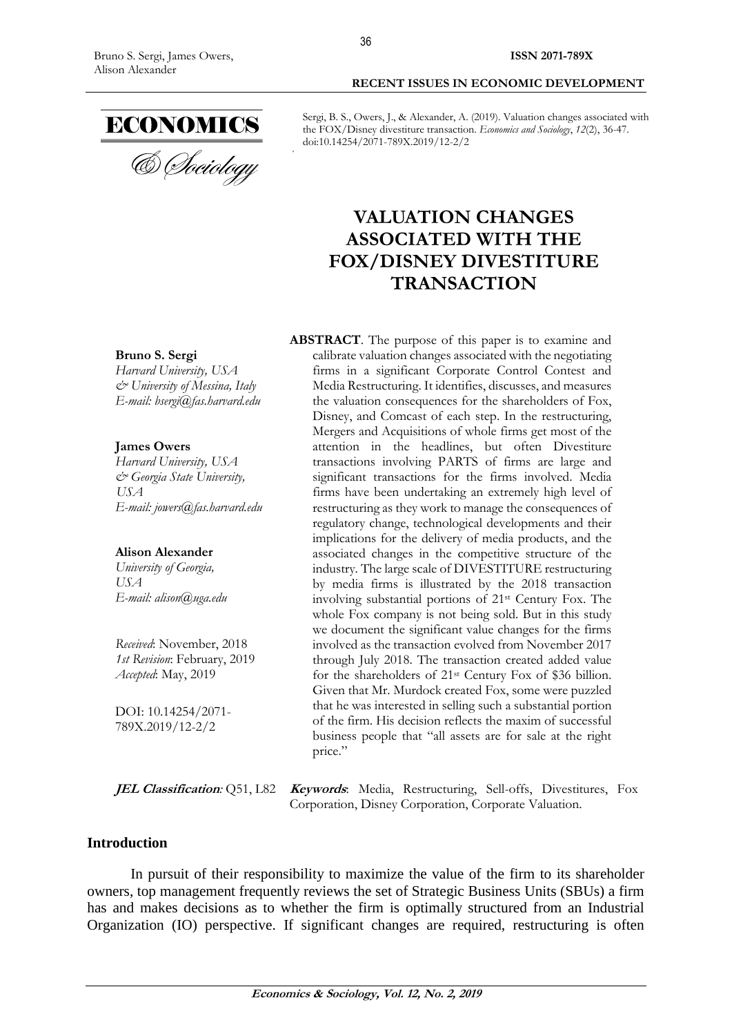36

ECONOMICS<br>& *Cheiology* 

Sergi, B. S., Owers, J., & Alexander, A. (2019). Valuation changes associated with the FOX/Disney divestiture transaction. *Economics and Sociology*, *12*(2), 36-47. doi:10.14254/2071-789X.2019/12-2/2

**RECENT ISSUES IN ECONOMIC DEVELOPMENT**

# **VALUATION CHANGES ASSOCIATED WITH THE FOX/DISNEY DIVESTITURE TRANSACTION**

**Bruno S. Sergi** *Harvard University, USA & University of Messina, Italy E-mail: bsergi@fas.harvard.edu*

## **James Owers**

*Harvard University, USA & Georgia State University, USA E-mail: jowers@fas.harvard.edu*

#### **Alison Alexander**

*University of Georgia, USA E-mail: alison@uga.edu*

*Received*: November, 2018 *1st Revision*: February, 2019 *Accepted*: May, 2019

DOI: 10.14254/2071- 789X.2019/12-2/2

**ABSTRACT**. The purpose of this paper is to examine and calibrate valuation changes associated with the negotiating firms in a significant Corporate Control Contest and Media Restructuring. It identifies, discusses, and measures the valuation consequences for the shareholders of Fox, Disney, and Comcast of each step. In the restructuring, Mergers and Acquisitions of whole firms get most of the attention in the headlines, but often Divestiture transactions involving PARTS of firms are large and significant transactions for the firms involved. Media firms have been undertaking an extremely high level of restructuring as they work to manage the consequences of regulatory change, technological developments and their implications for the delivery of media products, and the associated changes in the competitive structure of the industry. The large scale of DIVESTITURE restructuring by media firms is illustrated by the 2018 transaction involving substantial portions of 21st Century Fox. The whole Fox company is not being sold. But in this study we document the significant value changes for the firms involved as the transaction evolved from November 2017 through July 2018. The transaction created added value for the shareholders of 21st Century Fox of \$36 billion. Given that Mr. Murdock created Fox, some were puzzled that he was interested in selling such a substantial portion of the firm. His decision reflects the maxim of successful business people that "all assets are for sale at the right price."

**JEL Classification***:* Q51, L82 **Keywords**: Media, Restructuring, Sell-offs, Divestitures, Fox Corporation, Disney Corporation, Corporate Valuation.

## **Introduction**

In pursuit of their responsibility to maximize the value of the firm to its shareholder owners, top management frequently reviews the set of Strategic Business Units (SBUs) a firm has and makes decisions as to whether the firm is optimally structured from an Industrial Organization (IO) perspective. If significant changes are required, restructuring is often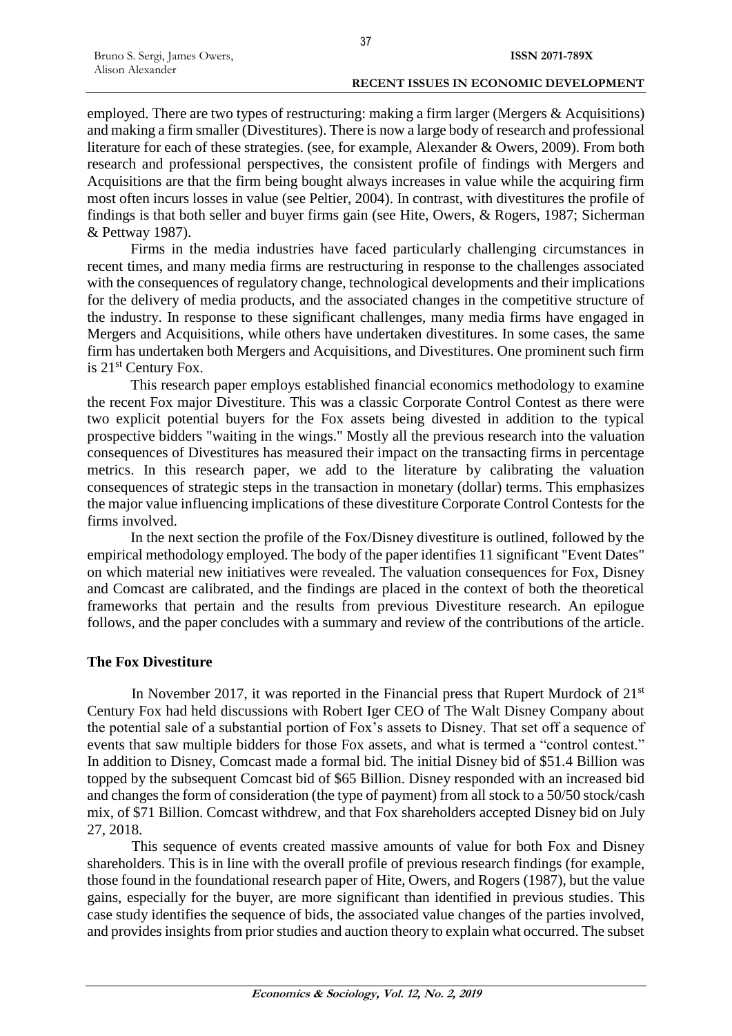## **RECENT ISSUES IN ECONOMIC DEVELOPMENT**

employed. There are two types of restructuring: making a firm larger (Mergers & Acquisitions) and making a firm smaller (Divestitures). There is now a large body of research and professional literature for each of these strategies. (see, for example, Alexander & Owers, 2009). From both research and professional perspectives, the consistent profile of findings with Mergers and Acquisitions are that the firm being bought always increases in value while the acquiring firm most often incurs losses in value (see Peltier, 2004). In contrast, with divestitures the profile of findings is that both seller and buyer firms gain (see Hite, Owers, & Rogers, 1987; Sicherman & Pettway 1987).

Firms in the media industries have faced particularly challenging circumstances in recent times, and many media firms are restructuring in response to the challenges associated with the consequences of regulatory change, technological developments and their implications for the delivery of media products, and the associated changes in the competitive structure of the industry. In response to these significant challenges, many media firms have engaged in Mergers and Acquisitions, while others have undertaken divestitures. In some cases, the same firm has undertaken both Mergers and Acquisitions, and Divestitures. One prominent such firm is 21st Century Fox.

This research paper employs established financial economics methodology to examine the recent Fox major Divestiture. This was a classic Corporate Control Contest as there were two explicit potential buyers for the Fox assets being divested in addition to the typical prospective bidders "waiting in the wings." Mostly all the previous research into the valuation consequences of Divestitures has measured their impact on the transacting firms in percentage metrics. In this research paper, we add to the literature by calibrating the valuation consequences of strategic steps in the transaction in monetary (dollar) terms. This emphasizes the major value influencing implications of these divestiture Corporate Control Contests for the firms involved.

In the next section the profile of the Fox/Disney divestiture is outlined, followed by the empirical methodology employed. The body of the paper identifies 11 significant "Event Dates" on which material new initiatives were revealed. The valuation consequences for Fox, Disney and Comcast are calibrated, and the findings are placed in the context of both the theoretical frameworks that pertain and the results from previous Divestiture research. An epilogue follows, and the paper concludes with a summary and review of the contributions of the article.

## **The Fox Divestiture**

In November 2017, it was reported in the Financial press that Rupert Murdock of  $21<sup>st</sup>$ Century Fox had held discussions with Robert Iger CEO of The Walt Disney Company about the potential sale of a substantial portion of Fox's assets to Disney. That set off a sequence of events that saw multiple bidders for those Fox assets, and what is termed a "control contest." In addition to Disney, Comcast made a formal bid. The initial Disney bid of \$51.4 Billion was topped by the subsequent Comcast bid of \$65 Billion. Disney responded with an increased bid and changes the form of consideration (the type of payment) from all stock to a 50/50 stock/cash mix, of \$71 Billion. Comcast withdrew, and that Fox shareholders accepted Disney bid on July 27, 2018.

This sequence of events created massive amounts of value for both Fox and Disney shareholders. This is in line with the overall profile of previous research findings (for example, those found in the foundational research paper of Hite, Owers, and Rogers (1987), but the value gains, especially for the buyer, are more significant than identified in previous studies. This case study identifies the sequence of bids, the associated value changes of the parties involved, and provides insights from prior studies and auction theory to explain what occurred. The subset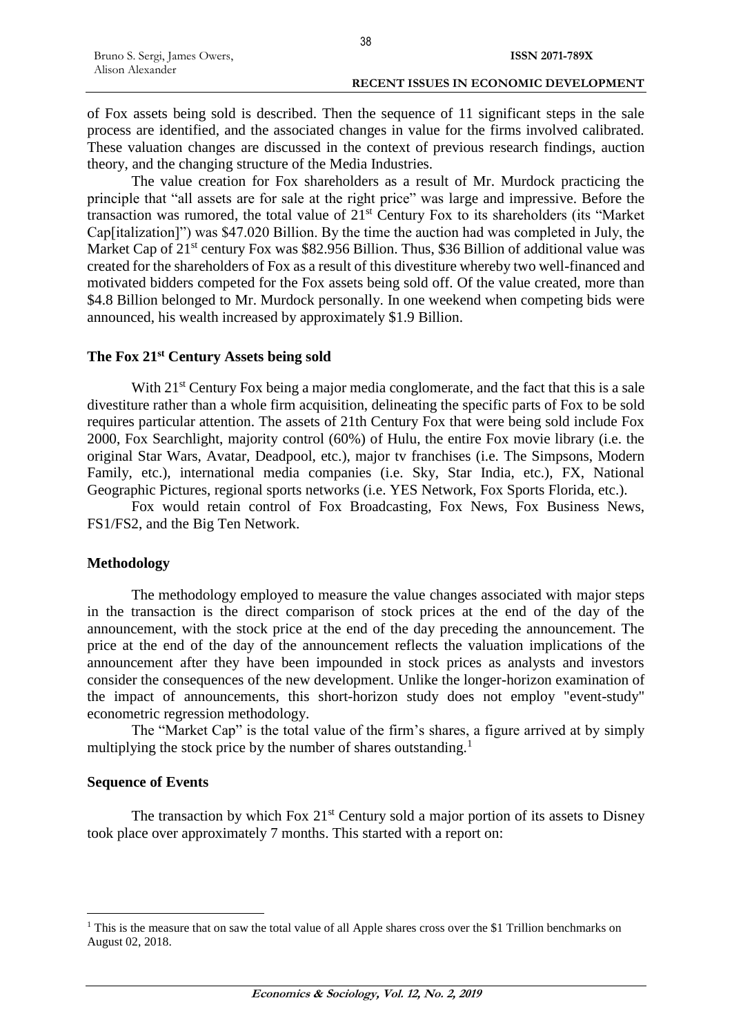of Fox assets being sold is described. Then the sequence of 11 significant steps in the sale process are identified, and the associated changes in value for the firms involved calibrated. These valuation changes are discussed in the context of previous research findings, auction theory, and the changing structure of the Media Industries.

The value creation for Fox shareholders as a result of Mr. Murdock practicing the principle that "all assets are for sale at the right price" was large and impressive. Before the transaction was rumored, the total value of  $21<sup>st</sup>$  Century Fox to its shareholders (its "Market") Cap[italization]") was \$47.020 Billion. By the time the auction had was completed in July, the Market Cap of 21<sup>st</sup> century Fox was \$82.956 Billion. Thus, \$36 Billion of additional value was created for the shareholders of Fox as a result of this divestiture whereby two well-financed and motivated bidders competed for the Fox assets being sold off. Of the value created, more than \$4.8 Billion belonged to Mr. Murdock personally. In one weekend when competing bids were announced, his wealth increased by approximately \$1.9 Billion.

## **The Fox 21st Century Assets being sold**

With 21<sup>st</sup> Century Fox being a major media conglomerate, and the fact that this is a sale divestiture rather than a whole firm acquisition, delineating the specific parts of Fox to be sold requires particular attention. The assets of 21th Century Fox that were being sold include Fox 2000, Fox Searchlight, majority control (60%) of Hulu, the entire Fox movie library (i.e. the original Star Wars, Avatar, Deadpool, etc.), major tv franchises (i.e. The Simpsons, Modern Family, etc.), international media companies (i.e. Sky, Star India, etc.), FX, National Geographic Pictures, regional sports networks (i.e. YES Network, Fox Sports Florida, etc.).

Fox would retain control of Fox Broadcasting, Fox News, Fox Business News, FS1/FS2, and the Big Ten Network.

## **Methodology**

The methodology employed to measure the value changes associated with major steps in the transaction is the direct comparison of stock prices at the end of the day of the announcement, with the stock price at the end of the day preceding the announcement. The price at the end of the day of the announcement reflects the valuation implications of the announcement after they have been impounded in stock prices as analysts and investors consider the consequences of the new development. Unlike the longer-horizon examination of the impact of announcements, this short-horizon study does not employ "event-study" econometric regression methodology.

The "Market Cap" is the total value of the firm's shares, a figure arrived at by simply multiplying the stock price by the number of shares outstanding.<sup>1</sup>

## **Sequence of Events**

 $\overline{a}$ 

The transaction by which Fox  $21<sup>st</sup>$  Century sold a major portion of its assets to Disney took place over approximately 7 months. This started with a report on:

<sup>&</sup>lt;sup>1</sup> This is the measure that on saw the total value of all Apple shares cross over the \$1 Trillion benchmarks on August 02, 2018.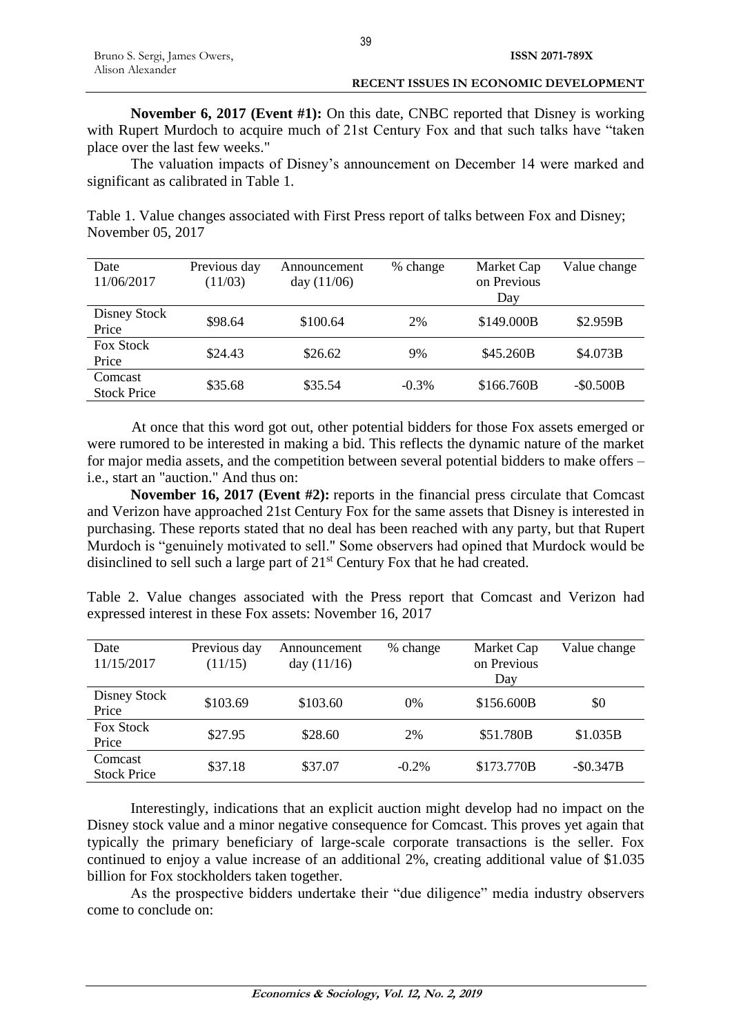**November 6, 2017 (Event #1):** On this date, CNBC reported that Disney is working with Rupert Murdoch to acquire much of 21st Century Fox and that such talks have "taken" place over the last few weeks."

The valuation impacts of Disney's announcement on December 14 were marked and significant as calibrated in Table 1.

Table 1. Value changes associated with First Press report of talks between Fox and Disney; November 05, 2017

| Date<br>11/06/2017            | Previous day<br>(11/03) | Announcement<br>day $(11/06)$ | % change | Market Cap<br>on Previous<br>Day | Value change |
|-------------------------------|-------------------------|-------------------------------|----------|----------------------------------|--------------|
| Disney Stock<br>Price         | \$98.64                 | \$100.64                      | 2%       | \$149.000B                       | \$2.959B     |
| <b>Fox Stock</b><br>Price     | \$24.43                 | \$26.62                       | 9%       | \$45.260B                        | \$4.073B     |
| Comcast<br><b>Stock Price</b> | \$35.68                 | \$35.54                       | $-0.3%$  | \$166.760B                       | $-$ \$0.500B |

At once that this word got out, other potential bidders for those Fox assets emerged or were rumored to be interested in making a bid. This reflects the dynamic nature of the market for major media assets, and the competition between several potential bidders to make offers – i.e., start an "auction." And thus on:

**November 16, 2017 (Event #2):** reports in the financial press circulate that Comcast and Verizon have approached 21st Century Fox for the same assets that Disney is interested in purchasing. These reports stated that no deal has been reached with any party, but that Rupert Murdoch is "genuinely motivated to sell." Some observers had opined that Murdock would be disinclined to sell such a large part of 21<sup>st</sup> Century Fox that he had created.

|  |  | Table 2. Value changes associated with the Press report that Comcast and Verizon had |  |  |  |  |  |
|--|--|--------------------------------------------------------------------------------------|--|--|--|--|--|
|  |  | expressed interest in these Fox assets: November 16, 2017                            |  |  |  |  |  |

| Date<br>11/15/2017            | Previous day<br>(11/15) | Announcement<br>day $(11/16)$ | % change | Market Cap<br>on Previous<br>Day | Value change |
|-------------------------------|-------------------------|-------------------------------|----------|----------------------------------|--------------|
| Disney Stock<br>Price         | \$103.69                | \$103.60                      | 0%       | \$156.600B                       | \$0          |
| <b>Fox Stock</b><br>Price     | \$27.95                 | \$28.60                       | 2%       | \$51.780B                        | \$1.035B     |
| Comcast<br><b>Stock Price</b> | \$37.18                 | \$37.07                       | $-0.2\%$ | \$173.770B                       | $-S0.347B$   |

Interestingly, indications that an explicit auction might develop had no impact on the Disney stock value and a minor negative consequence for Comcast. This proves yet again that typically the primary beneficiary of large-scale corporate transactions is the seller. Fox continued to enjoy a value increase of an additional 2%, creating additional value of \$1.035 billion for Fox stockholders taken together.

As the prospective bidders undertake their "due diligence" media industry observers come to conclude on: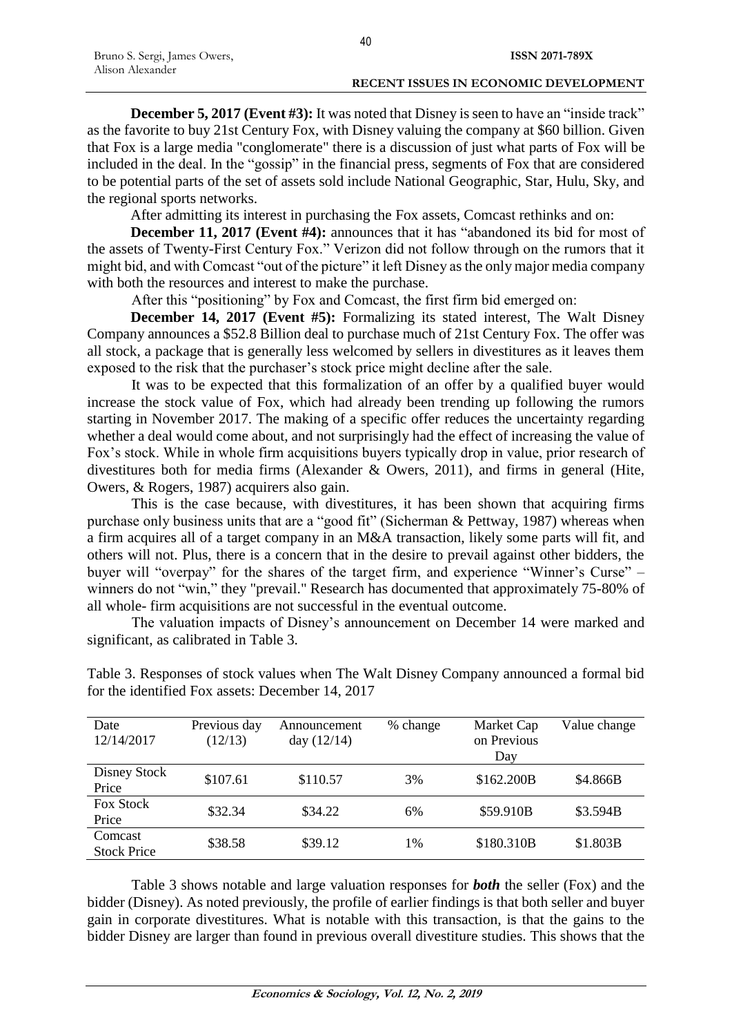**December 5, 2017 (Event #3):** It was noted that Disney is seen to have an "inside track" as the favorite to buy 21st Century Fox, with Disney valuing the company at \$60 billion. Given that Fox is a large media "conglomerate" there is a discussion of just what parts of Fox will be included in the deal. In the "gossip" in the financial press, segments of Fox that are considered to be potential parts of the set of assets sold include National Geographic, Star, Hulu, Sky, and the regional sports networks.

After admitting its interest in purchasing the Fox assets, Comcast rethinks and on:

**December 11, 2017 (Event #4):** announces that it has "abandoned its bid for most of the assets of Twenty-First Century Fox." Verizon did not follow through on the rumors that it might bid, and with Comcast "out of the picture" it left Disney as the only major media company with both the resources and interest to make the purchase.

After this "positioning" by Fox and Comcast, the first firm bid emerged on:

**December 14, 2017 (Event #5):** Formalizing its stated interest, The Walt Disney Company announces a \$52.8 Billion deal to purchase much of 21st Century Fox. The offer was all stock, a package that is generally less welcomed by sellers in divestitures as it leaves them exposed to the risk that the purchaser's stock price might decline after the sale.

It was to be expected that this formalization of an offer by a qualified buyer would increase the stock value of Fox, which had already been trending up following the rumors starting in November 2017. The making of a specific offer reduces the uncertainty regarding whether a deal would come about, and not surprisingly had the effect of increasing the value of Fox's stock. While in whole firm acquisitions buyers typically drop in value, prior research of divestitures both for media firms (Alexander & Owers, 2011), and firms in general (Hite, Owers, & Rogers, 1987) acquirers also gain.

This is the case because, with divestitures, it has been shown that acquiring firms purchase only business units that are a "good fit" (Sicherman & Pettway, 1987) whereas when a firm acquires all of a target company in an M&A transaction, likely some parts will fit, and others will not. Plus, there is a concern that in the desire to prevail against other bidders, the buyer will "overpay" for the shares of the target firm, and experience "Winner's Curse" – winners do not "win," they "prevail." Research has documented that approximately 75-80% of all whole- firm acquisitions are not successful in the eventual outcome.

The valuation impacts of Disney's announcement on December 14 were marked and significant, as calibrated in Table 3.

| Date<br>12/14/2017            | Previous day<br>(12/13) | Announcement<br>day $(12/14)$ | % change | Market Cap<br>on Previous<br>Day | Value change |
|-------------------------------|-------------------------|-------------------------------|----------|----------------------------------|--------------|
| Disney Stock<br>Price         | \$107.61                | \$110.57                      | 3%       | \$162.200B                       | \$4.866B     |
| <b>Fox Stock</b><br>Price     | \$32.34                 | \$34.22                       | 6%       | \$59.910B                        | \$3.594B     |
| Comcast<br><b>Stock Price</b> | \$38.58                 | \$39.12                       | 1%       | \$180.310B                       | \$1.803B     |

Table 3. Responses of stock values when The Walt Disney Company announced a formal bid for the identified Fox assets: December 14, 2017

Table 3 shows notable and large valuation responses for *both* the seller (Fox) and the bidder (Disney). As noted previously, the profile of earlier findings is that both seller and buyer gain in corporate divestitures. What is notable with this transaction, is that the gains to the bidder Disney are larger than found in previous overall divestiture studies. This shows that the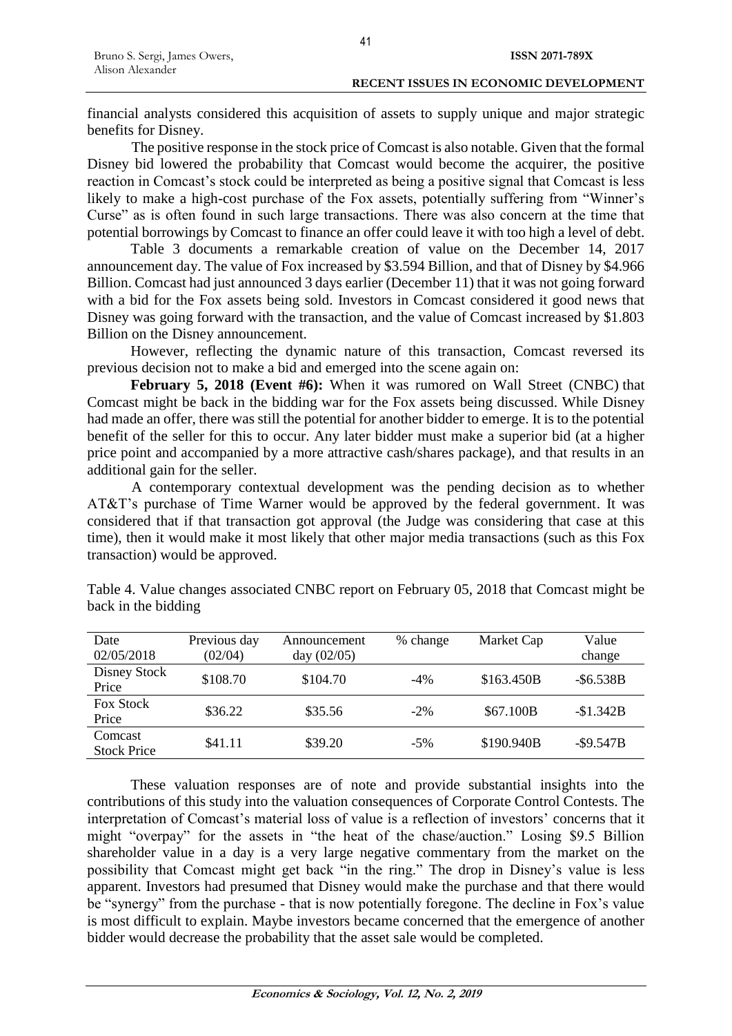41

financial analysts considered this acquisition of assets to supply unique and major strategic benefits for Disney.

The positive response in the stock price of Comcast is also notable. Given that the formal Disney bid lowered the probability that Comcast would become the acquirer, the positive reaction in Comcast's stock could be interpreted as being a positive signal that Comcast is less likely to make a high-cost purchase of the Fox assets, potentially suffering from "Winner's Curse" as is often found in such large transactions. There was also concern at the time that potential borrowings by Comcast to finance an offer could leave it with too high a level of debt.

Table 3 documents a remarkable creation of value on the December 14, 2017 announcement day. The value of Fox increased by \$3.594 Billion, and that of Disney by \$4.966 Billion. Comcast had just announced 3 days earlier (December 11) that it was not going forward with a bid for the Fox assets being sold. Investors in Comcast considered it good news that Disney was going forward with the transaction, and the value of Comcast increased by \$1.803 Billion on the Disney announcement.

However, reflecting the dynamic nature of this transaction, Comcast reversed its previous decision not to make a bid and emerged into the scene again on:

**February 5, 2018 (Event #6):** When it was rumored on Wall Street (CNBC) that Comcast might be back in the bidding war for the Fox assets being discussed. While Disney had made an offer, there was still the potential for another bidder to emerge. It is to the potential benefit of the seller for this to occur. Any later bidder must make a superior bid (at a higher price point and accompanied by a more attractive cash/shares package), and that results in an additional gain for the seller.

A contemporary contextual development was the pending decision as to whether AT&T's purchase of Time Warner would be approved by the federal government. It was considered that if that transaction got approval (the Judge was considering that case at this time), then it would make it most likely that other major media transactions (such as this Fox transaction) would be approved.

| Date<br>02/05/2018            | Previous day<br>(02/04) | Announcement<br>day $(02/05)$ | % change | Market Cap | Value<br>change |
|-------------------------------|-------------------------|-------------------------------|----------|------------|-----------------|
| Disney Stock<br>Price         | \$108.70                | \$104.70                      | $-4\%$   | \$163.450B | $-$ \$6.538B    |
| <b>Fox Stock</b><br>Price     | \$36.22                 | \$35.56                       | $-2\%$   | \$67.100B  | $-\$1.342B$     |
| Comcast<br><b>Stock Price</b> | \$41.11                 | \$39.20                       | $-5%$    | \$190.940B | $-$ \$9.547B    |

Table 4. Value changes associated CNBC report on February 05, 2018 that Comcast might be back in the bidding

These valuation responses are of note and provide substantial insights into the contributions of this study into the valuation consequences of Corporate Control Contests. The interpretation of Comcast's material loss of value is a reflection of investors' concerns that it might "overpay" for the assets in "the heat of the chase/auction." Losing \$9.5 Billion shareholder value in a day is a very large negative commentary from the market on the possibility that Comcast might get back "in the ring." The drop in Disney's value is less apparent. Investors had presumed that Disney would make the purchase and that there would be "synergy" from the purchase - that is now potentially foregone. The decline in Fox's value is most difficult to explain. Maybe investors became concerned that the emergence of another bidder would decrease the probability that the asset sale would be completed.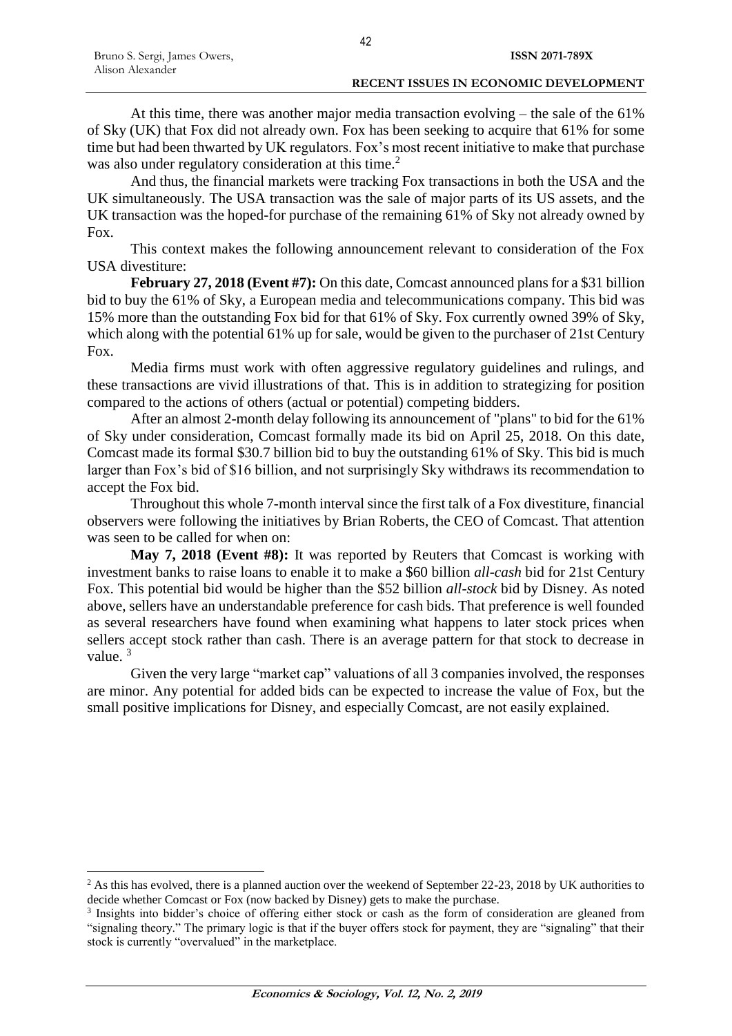$\overline{a}$ 

At this time, there was another major media transaction evolving – the sale of the 61% of Sky (UK) that Fox did not already own. Fox has been seeking to acquire that 61% for some time but had been thwarted by UK regulators. Fox's most recent initiative to make that purchase was also under regulatory consideration at this time.<sup>2</sup>

And thus, the financial markets were tracking Fox transactions in both the USA and the UK simultaneously. The USA transaction was the sale of major parts of its US assets, and the UK transaction was the hoped-for purchase of the remaining 61% of Sky not already owned by Fox.

This context makes the following announcement relevant to consideration of the Fox USA divestiture:

**February 27, 2018 (Event #7):** On this date, Comcast announced plans for a \$31 billion bid to buy the 61% of Sky, a European media and telecommunications company. This bid was 15% more than the outstanding Fox bid for that 61% of Sky. Fox currently owned 39% of Sky, which along with the potential 61% up for sale, would be given to the purchaser of 21st Century Fox.

Media firms must work with often aggressive regulatory guidelines and rulings, and these transactions are vivid illustrations of that. This is in addition to strategizing for position compared to the actions of others (actual or potential) competing bidders.

After an almost 2-month delay following its announcement of "plans" to bid for the 61% of Sky under consideration, Comcast formally made its bid on April 25, 2018. On this date, Comcast made its formal \$30.7 billion bid to buy the outstanding 61% of Sky. This bid is much larger than Fox's bid of \$16 billion, and not surprisingly Sky withdraws its recommendation to accept the Fox bid.

Throughout this whole 7-month interval since the first talk of a Fox divestiture, financial observers were following the initiatives by Brian Roberts, the CEO of Comcast. That attention was seen to be called for when on:

**May 7, 2018 (Event #8):** It was reported by Reuters that Comcast is working with investment banks to raise loans to enable it to make a \$60 billion *all-cash* bid for 21st Century Fox. This potential bid would be higher than the \$52 billion *all-stock* bid by Disney. As noted above, sellers have an understandable preference for cash bids. That preference is well founded as several researchers have found when examining what happens to later stock prices when sellers accept stock rather than cash. There is an average pattern for that stock to decrease in value. <sup>3</sup>

Given the very large "market cap" valuations of all 3 companies involved, the responses are minor. Any potential for added bids can be expected to increase the value of Fox, but the small positive implications for Disney, and especially Comcast, are not easily explained.

<sup>&</sup>lt;sup>2</sup> As this has evolved, there is a planned auction over the weekend of September 22-23, 2018 by UK authorities to decide whether Comcast or Fox (now backed by Disney) gets to make the purchase.

<sup>3</sup> Insights into bidder's choice of offering either stock or cash as the form of consideration are gleaned from "signaling theory." The primary logic is that if the buyer offers stock for payment, they are "signaling" that their stock is currently "overvalued" in the marketplace.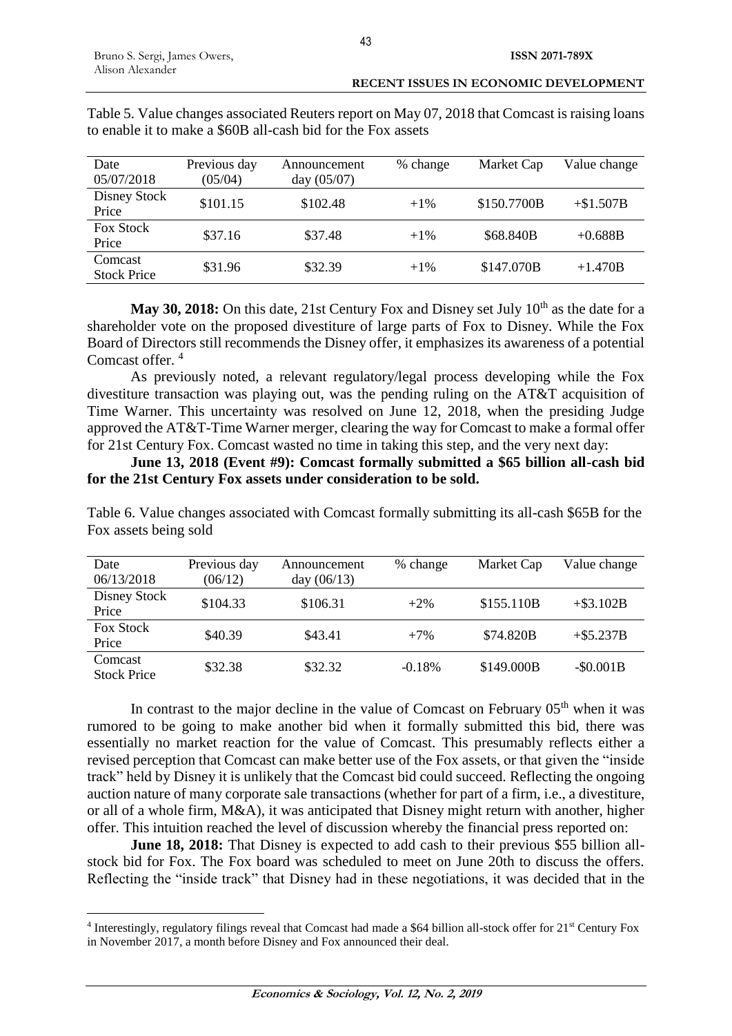$\overline{a}$ 

| Date<br>05/07/2018            | Previous day<br>(05/04) | Announcement<br>day $(05/07)$ | % change | Market Cap  | Value change |
|-------------------------------|-------------------------|-------------------------------|----------|-------------|--------------|
| Disney Stock<br>Price         | \$101.15                | \$102.48                      | $+1\%$   | \$150.7700B | $+ $1.507B$  |
| <b>Fox Stock</b><br>Price     | \$37.16                 | \$37.48                       | $+1\%$   | \$68.840B   | $+0.688B$    |
| Comcast<br><b>Stock Price</b> | \$31.96                 | \$32.39                       | $+1\%$   | \$147.070B  | $+1.470B$    |

Table 5. Value changes associated Reuters report on May 07, 2018 that Comcast is raising loans to enable it to make a \$60B all-cash bid for the Fox assets

May 30, 2018: On this date, 21st Century Fox and Disney set July 10<sup>th</sup> as the date for a shareholder vote on the proposed divestiture of large parts of Fox to Disney. While the Fox Board of Directors still recommends the Disney offer, it emphasizes its awareness of a potential Comcast offer. <sup>4</sup>

As previously noted, a relevant regulatory/legal process developing while the Fox divestiture transaction was playing out, was the pending ruling on the AT&T acquisition of Time Warner. This uncertainty was resolved on June 12, 2018, when the presiding Judge approved the AT&T-Time Warner merger, clearing the way for Comcast to make a formal offer for 21st Century Fox. Comcast wasted no time in taking this step, and the very next day:

**June 13, 2018 (Event #9): Comcast formally submitted a \$65 billion all-cash bid for the 21st Century Fox assets under consideration to be sold.**

Table 6. Value changes associated with Comcast formally submitting its all-cash \$65B for the Fox assets being sold

| Date<br>06/13/2018            | Previous day<br>(06/12) | Announcement<br>day $(06/13)$ | % change | Market Cap | Value change |
|-------------------------------|-------------------------|-------------------------------|----------|------------|--------------|
| Disney Stock<br>Price         | \$104.33                | \$106.31                      | $+2\%$   | \$155.110B | $+$ \$3.102B |
| <b>Fox Stock</b><br>Price     | \$40.39                 | \$43.41                       | $+7%$    | \$74.820B  | $+$ \$5.237B |
| Comcast<br><b>Stock Price</b> | \$32.38                 | \$32.32                       | $-0.18%$ | \$149.000B | $-$ \$0.001B |

In contrast to the major decline in the value of Comcast on February  $05<sup>th</sup>$  when it was rumored to be going to make another bid when it formally submitted this bid, there was essentially no market reaction for the value of Comcast. This presumably reflects either a revised perception that Comcast can make better use of the Fox assets, or that given the "inside track" held by Disney it is unlikely that the Comcast bid could succeed. Reflecting the ongoing auction nature of many corporate sale transactions (whether for part of a firm, i.e., a divestiture, or all of a whole firm, M&A), it was anticipated that Disney might return with another, higher offer. This intuition reached the level of discussion whereby the financial press reported on:

**June 18, 2018:** That Disney is expected to add cash to their previous \$55 billion allstock bid for Fox. The Fox board was scheduled to meet on June 20th to discuss the offers. Reflecting the "inside track" that Disney had in these negotiations, it was decided that in the

<sup>&</sup>lt;sup>4</sup> Interestingly, regulatory filings reveal that Comcast had made a \$64 billion all-stock offer for 21<sup>st</sup> Century Fox in November 2017, a month before Disney and Fox announced their deal.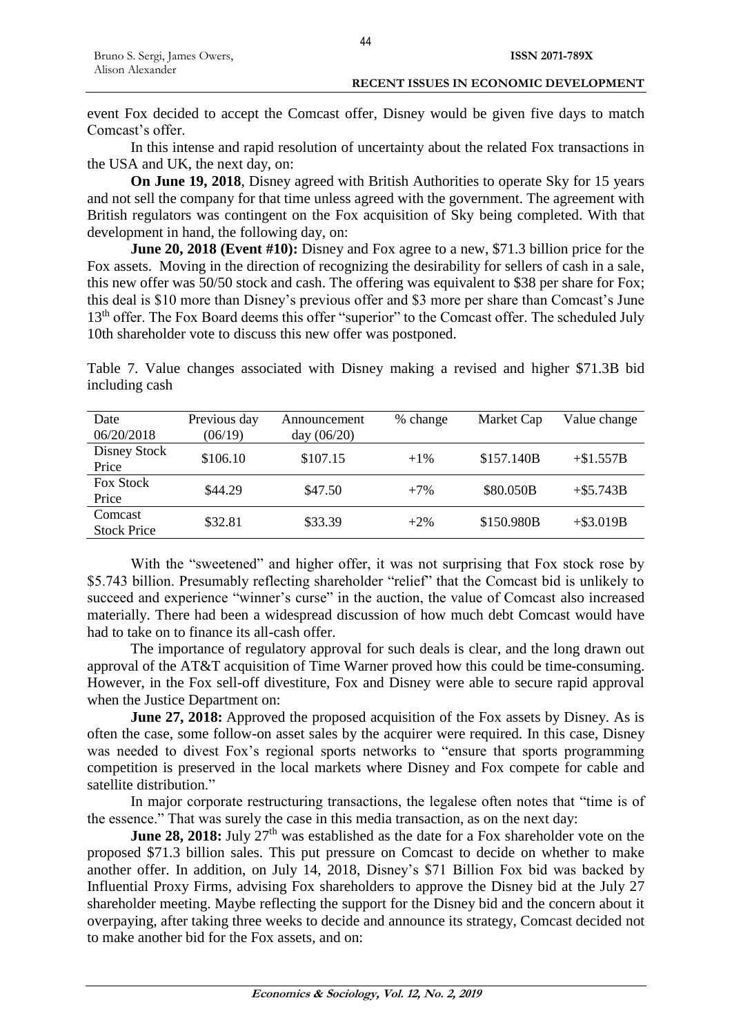event Fox decided to accept the Comcast offer, Disney would be given five days to match Comcast's offer.

In this intense and rapid resolution of uncertainty about the related Fox transactions in the USA and UK, the next day, on:

**On June 19, 2018**, Disney agreed with British Authorities to operate Sky for 15 years and not sell the company for that time unless agreed with the government. The agreement with British regulators was contingent on the Fox acquisition of Sky being completed. With that development in hand, the following day, on:

**June 20, 2018 (Event #10):** Disney and Fox agree to a new, \$71.3 billion price for the [Fox assets.](https://www.wsj.com/articles/fox-disney-announce-new-deal-1529496937) Moving in the direction of recognizing the desirability for sellers of cash in a sale, this new offer was 50/50 stock and cash. The offering was equivalent to \$38 per share for Fox; this deal is \$10 more than Disney's previous offer and \$3 more per share than Comcast's June 13<sup>th</sup> offer. The Fox Board deems this offer "superior" to the Comcast offer. The scheduled July 10th shareholder vote to discuss this new offer was postponed.

Table 7. Value changes associated with Disney making a revised and higher \$71.3B bid including cash

| Date<br>06/20/2018            | Previous day<br>(06/19) | Announcement<br>day $(06/20)$ | % change | Market Cap | Value change |
|-------------------------------|-------------------------|-------------------------------|----------|------------|--------------|
| Disney Stock<br>Price         | \$106.10                | \$107.15                      | $+1\%$   | \$157.140B | $+\$1.557B$  |
| <b>Fox Stock</b><br>Price     | \$44.29                 | \$47.50                       | $+7%$    | \$80.050B  | $+$ \$5.743B |
| Comcast<br><b>Stock Price</b> | \$32.81                 | \$33.39                       | $+2\%$   | \$150.980B | $+$ \$3.019B |

With the "sweetened" and higher offer, it was not surprising that Fox stock rose by \$5.743 billion. Presumably reflecting shareholder "relief" that the Comcast bid is unlikely to succeed and experience "winner's curse" in the auction, the value of Comcast also increased materially. There had been a widespread discussion of how much debt Comcast would have had to take on to finance its all-cash offer.

The importance of regulatory approval for such deals is clear, and the long drawn out approval of the AT&T acquisition of Time Warner proved how this could be time-consuming. However, in the Fox sell-off divestiture, Fox and Disney were able to secure rapid approval when the Justice Department on:

**June 27, 2018:** Approved the proposed acquisition of the Fox assets by Disney. As is often the case, some follow-on asset sales by the acquirer were required. In this case, Disney was needed to divest Fox's regional sports networks to "ensure that sports programming competition is preserved in the local markets where Disney and Fox compete for cable and satellite distribution."

In major corporate restructuring transactions, the legalese often notes that "time is of the essence." That was surely the case in this media transaction, as on the next day:

**June 28, 2018:** July 27<sup>th</sup> was established as the date for a Fox shareholder vote on the proposed \$71.3 billion sales. This put pressure on Comcast to decide on whether to make another offer. In addition, on July 14, 2018, [Disney's \\$71 Billion Fox bid was backed by](https://www.bloomberg.com/news/articles/2018-07-13/disney-s-71-billion-fox-bid-wins-backing-from-glass-lewis)  [Influential Proxy Firms,](https://www.bloomberg.com/news/articles/2018-07-13/disney-s-71-billion-fox-bid-wins-backing-from-glass-lewis) advising Fox shareholders to approve the Disney bid at the July 27 shareholder meeting. Maybe reflecting the support for the Disney bid and the concern about it overpaying, after taking three weeks to decide and announce its strategy, Comcast decided not to make another bid for the Fox assets, and on: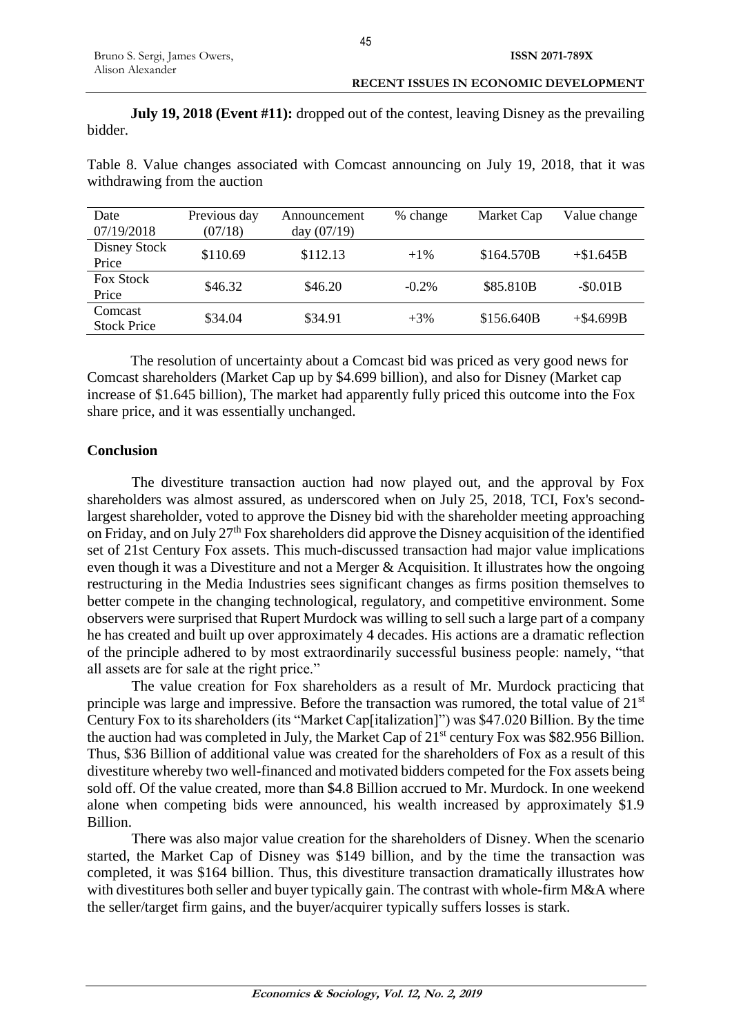**July 19, 2018 (Event #11):** dropped out of the contest, leaving Disney as the prevailing bidder.

| Date<br>07/19/2018            | Previous day<br>(07/18) | Announcement<br>day $(07/19)$ | % change | Market Cap | Value change |
|-------------------------------|-------------------------|-------------------------------|----------|------------|--------------|
| Disney Stock<br>Price         | \$110.69                | \$112.13                      | $+1\%$   | \$164.570B | $+\$1.645B$  |
| <b>Fox Stock</b><br>Price     | \$46.32                 | \$46.20                       | $-0.2\%$ | \$85.810B  | $-S0.01B$    |
| Comcast<br><b>Stock Price</b> | \$34.04                 | \$34.91                       | $+3\%$   | \$156.640B | $+$ \$4.699B |

Table 8. Value changes associated with Comcast announcing on July 19, 2018, that it was withdrawing from the auction

The resolution of uncertainty about a Comcast bid was priced as very good news for Comcast shareholders (Market Cap up by \$4.699 billion), and also for Disney (Market cap increase of \$1.645 billion), The market had apparently fully priced this outcome into the Fox share price, and it was essentially unchanged.

## **Conclusion**

The divestiture transaction auction had now played out, and the approval by Fox shareholders was almost assured, as underscored when on July 25, 2018, TCI, Fox's secondlargest shareholder, voted to approve the Disney bid with the shareholder meeting approaching on Friday, and on July 27th Fox shareholders did approve the Disney acquisition of the identified set of 21st Century Fox assets. This much-discussed transaction had major value implications even though it was a Divestiture and not a Merger & Acquisition. It illustrates how the ongoing restructuring in the Media Industries sees significant changes as firms position themselves to better compete in the changing technological, regulatory, and competitive environment. Some observers were surprised that Rupert Murdock was willing to sell such a large part of a company he has created and built up over approximately 4 decades. His actions are a dramatic reflection of the principle adhered to by most extraordinarily successful business people: namely, "that all assets are for sale at the right price."

The value creation for Fox shareholders as a result of Mr. Murdock practicing that principle was large and impressive. Before the transaction was rumored, the total value of  $21<sup>st</sup>$ Century Fox to its shareholders (its "Market Cap[italization]") was \$47.020 Billion. By the time the auction had was completed in July, the Market Cap of  $21<sup>st</sup>$  century Fox was \$82.956 Billion. Thus, \$36 Billion of additional value was created for the shareholders of Fox as a result of this divestiture whereby two well-financed and motivated bidders competed for the Fox assets being sold off. Of the value created, more than \$4.8 Billion accrued to Mr. Murdock. In one weekend alone when competing bids were announced, his wealth increased by approximately \$1.9 Billion.

There was also major value creation for the shareholders of Disney. When the scenario started, the Market Cap of Disney was \$149 billion, and by the time the transaction was completed, it was \$164 billion. Thus, this divestiture transaction dramatically illustrates how with divestitures both seller and buyer typically gain. The contrast with whole-firm M&A where the seller/target firm gains, and the buyer/acquirer typically suffers losses is stark.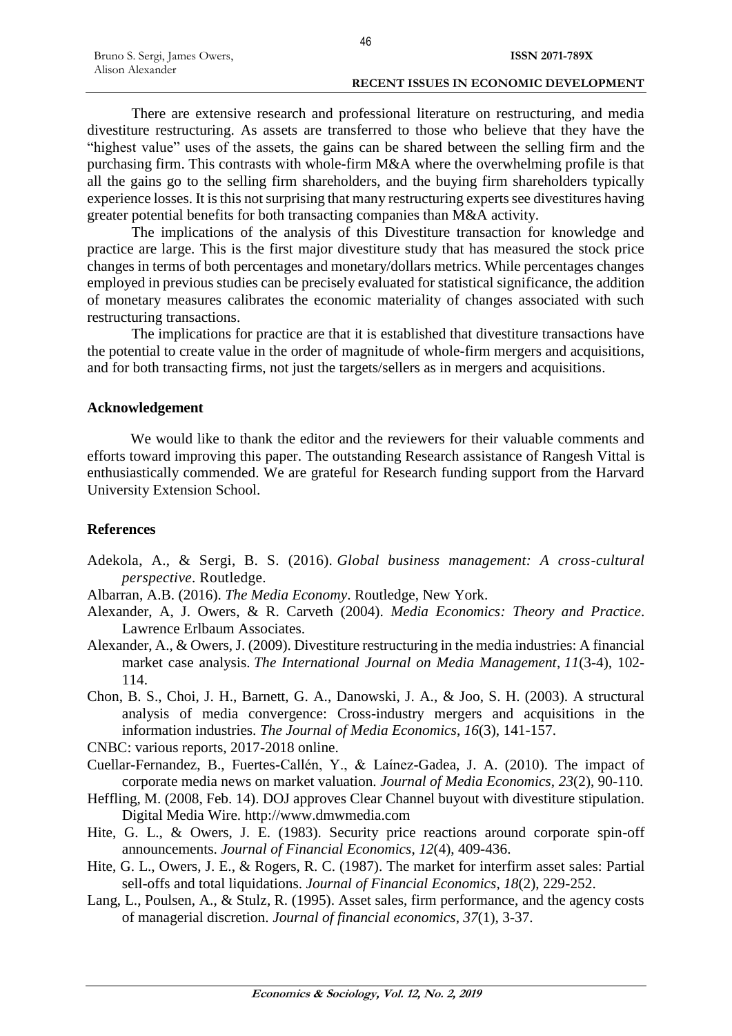#### **RECENT ISSUES IN ECONOMIC DEVELOPMENT**

There are extensive research and professional literature on restructuring, and media divestiture restructuring. As assets are transferred to those who believe that they have the "highest value" uses of the assets, the gains can be shared between the selling firm and the purchasing firm. This contrasts with whole-firm M&A where the overwhelming profile is that all the gains go to the selling firm shareholders, and the buying firm shareholders typically experience losses. It is this not surprising that many restructuring experts see divestitures having greater potential benefits for both transacting companies than M&A activity.

The implications of the analysis of this Divestiture transaction for knowledge and practice are large. This is the first major divestiture study that has measured the stock price changes in terms of both percentages and monetary/dollars metrics. While percentages changes employed in previous studies can be precisely evaluated for statistical significance, the addition of monetary measures calibrates the economic materiality of changes associated with such restructuring transactions.

The implications for practice are that it is established that divestiture transactions have the potential to create value in the order of magnitude of whole-firm mergers and acquisitions, and for both transacting firms, not just the targets/sellers as in mergers and acquisitions.

## **Acknowledgement**

We would like to thank the editor and the reviewers for their valuable comments and efforts toward improving this paper. The outstanding Research assistance of Rangesh Vittal is enthusiastically commended. We are grateful for Research funding support from the Harvard University Extension School.

## **References**

- Adekola, A., & Sergi, B. S. (2016). *Global business management: A cross-cultural perspective*. Routledge.
- Albarran, A.B. (2016). *The Media Economy*. Routledge, New York.
- Alexander, A, J. Owers, & R. Carveth (2004). *Media Economics: Theory and Practice*. Lawrence Erlbaum Associates.
- Alexander, A., & Owers, J. (2009). Divestiture restructuring in the media industries: A financial market case analysis. *The International Journal on Media Management*, *11*(3-4), 102- 114.
- Chon, B. S., Choi, J. H., Barnett, G. A., Danowski, J. A., & Joo, S. H. (2003). A structural analysis of media convergence: Cross-industry mergers and acquisitions in the information industries. *The Journal of Media Economics*, *16*(3), 141-157.

CNBC: various reports, 2017-2018 online.

- Cuellar-Fernandez, B., Fuertes-Callén, Y., & Laínez-Gadea, J. A. (2010). The impact of corporate media news on market valuation. *Journal of Media Economics*, *23*(2), 90-110.
- Heffling, M. (2008, Feb. 14). DOJ approves Clear Channel buyout with divestiture stipulation. Digital Media Wire. http://www.dmwmedia.com
- Hite, G. L., & Owers, J. E. (1983). Security price reactions around corporate spin-off announcements. *Journal of Financial Economics*, *12*(4), 409-436.
- Hite, G. L., Owers, J. E., & Rogers, R. C. (1987). The market for interfirm asset sales: Partial sell-offs and total liquidations. *Journal of Financial Economics*, *18*(2), 229-252.
- Lang, L., Poulsen, A., & Stulz, R. (1995). Asset sales, firm performance, and the agency costs of managerial discretion. *Journal of financial economics*, *37*(1), 3-37.